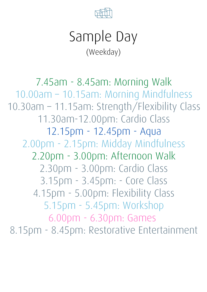

## Sample Day (Weekday)

7.45am - 8.45am: Morning Walk 10.00am – 10.15am: Morning Mindfulness 10.30am – 11.15am: Strength/Flexibility Class 11.30am-12.00pm: Cardio Class 12.15pm - 12.45pm - Aqua 2.00pm - 2.15pm: Midday Mindfulness 2.20pm - 3.00pm: Afternoon Walk 2.30pm - 3.00pm: Cardio Class 3.15pm - 3.45pm: - Core Class 4.15pm - 5.00pm: Flexibility Class 5.15pm - 5.45pm: Workshop 6.00pm - 6.30pm: Games 8.15pm - 8.45pm: Restorative Entertainment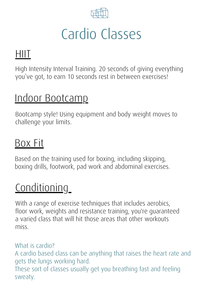High Intensity Interval Training. 20 seconds of giving everything you ' ve got, to earn 10 seconds rest in between exercises!

### Indoor Bootcamp

Bootcamp style! Using equipment and body weight moves to challenge your limits.



# Cardio Classes

#### HIIT

#### Box Fit

What is cardio? A cardio based class can be anything that raises the heart rate and gets the lungs working hard. These sort of classes usually get you breathing fast and feeling sweaty.

Based on the training used for boxing, including skipping, boxing drills, footwork, pad work and abdominal exercises.

### Conditioning

With a range of exercise techniques that includes aerobics, floor work, weights and resistance training, you're guaranteed a varied class that will hit those areas that other workouts miss.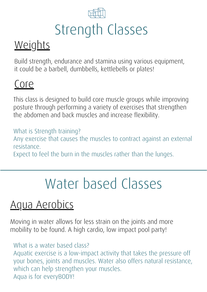

Build strength, endurance and stamina using various equipment, it could be a barbell, dumbbells, kettlebells or plates!

#### Core

This class is designed to build core muscle groups while improving posture through performing a variety of exercises that strengthen the abdomen and back muscles and increase flexibility.

#### What is Strength training?



# Strength Classes

Any exercise that causes the muscles to contract against an external resistance.

Expect to feel the burn in the muscles rather than the lunges.



# Water based Classes

#### Aqua Aerobics

Moving in water allows for less strain on the joints and more mobility to be found. A high cardio, low impact pool party!

#### What is a water based class?

Aquatic exercise is a low-impact activity that takes the pressure off your bones, joints and muscles. Water also offers natural resistance, which can help strengthen your muscles. Aqua is for everyBODY!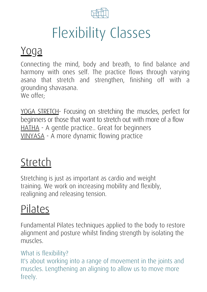### Yoga

Connecting the mind, body and breath, to find balance and harmony with ones self. The practice flows through varying asana that stretch and strengthen, finishing off with a grounding shavasana. We offer;

YOGA STRETCH- Focusing on stretching the muscles, perfect for beginners or those that want to stretch out with more of a flow HATHA - A gentle practice.. Great for beginners VINYASA - A more dynamic flowing practice



# Flexibility Classes

### Stretch

Stretching is just as important as cardio and weight training. We work on increasing mobility and flexibly, realigning and releasing tension.

### Pilates

Fundamental Pilates techniques applied to the body to restore alignment and posture whilst finding strength by isolating the muscles.

#### What is flexibility?

It's about working into a range of movement in the joints and muscles. Lengthening an aligning to allow us to move more freely.